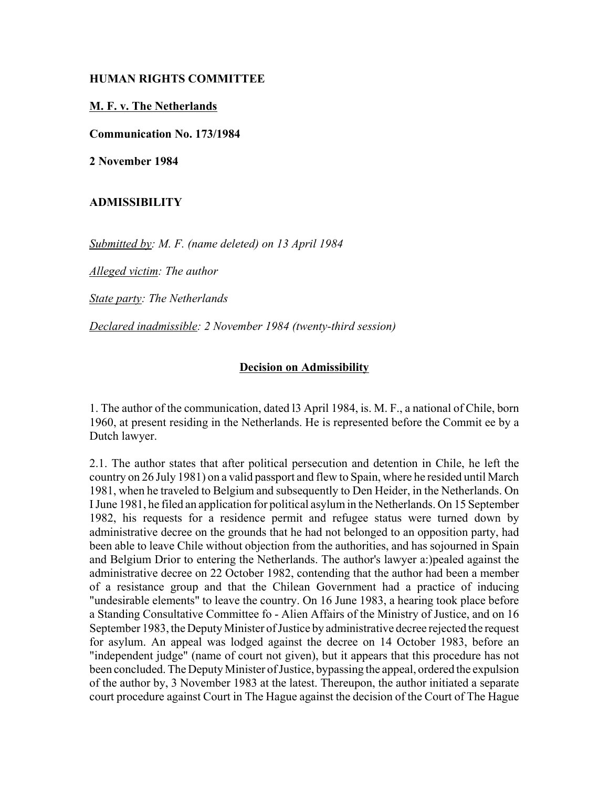## **HUMAN RIGHTS COMMITTEE**

## **M. F. v. The Netherlands**

**Communication No. 173/1984**

**2 November 1984**

## **ADMISSIBILITY**

*Submitted by: M. F. (name deleted) on 13 April 1984* 

*Alleged victim: The author* 

*State party: The Netherlands* 

*Declared inadmissible: 2 November 1984 (twenty-third session)*

## **Decision on Admissibility**

1. The author of the communication, dated l3 April 1984, is. M. F., a national of Chile, born 1960, at present residing in the Netherlands. He is represented before the Commit ee by a Dutch lawyer.

2.1. The author states that after political persecution and detention in Chile, he left the country on 26 July 1981) on a valid passport and flew to Spain, where he resided until March 1981, when he traveled to Belgium and subsequently to Den Heider, in the Netherlands. On I June 1981, he filed an application for political asylum in the Netherlands. On 15 September 1982, his requests for a residence permit and refugee status were turned down by administrative decree on the grounds that he had not belonged to an opposition party, had been able to leave Chile without objection from the authorities, and has sojourned in Spain and Belgium Drior to entering the Netherlands. The author's lawyer a:)pealed against the administrative decree on 22 October 1982, contending that the author had been a member of a resistance group and that the Chilean Government had a practice of inducing "undesirable elements" to leave the country. On 16 June 1983, a hearing took place before a Standing Consultative Committee fo - Alien Affairs of the Ministry of Justice, and on 16 September 1983, the Deputy Minister of Justice by administrative decree rejected the request for asylum. An appeal was lodged against the decree on 14 October 1983, before an "independent judge" (name of court not given), but it appears that this procedure has not been concluded. The Deputy Minister of Justice, bypassing the appeal, ordered the expulsion of the author by, 3 November 1983 at the latest. Thereupon, the author initiated a separate court procedure against Court in The Hague against the decision of the Court of The Hague